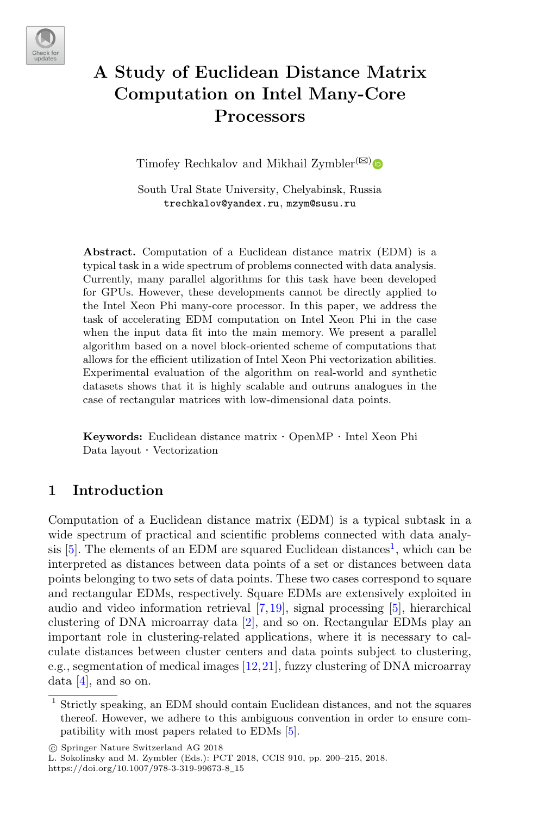

# **A Study of Euclidean Distance Matrix Computation on Intel Many-Core Processors**

Timofey Rechkalov and Mikhail Zymbler<sup>( $\boxtimes$ [\)](http://orcid.org/0000-0001-7491-8656)</sup>

South Ural State University, Chelyabinsk, Russia trechkalov@yandex.ru, mzym@susu.ru

**Abstract.** Computation of a Euclidean distance matrix (EDM) is a typical task in a wide spectrum of problems connected with data analysis. Currently, many parallel algorithms for this task have been developed for GPUs. However, these developments cannot be directly applied to the Intel Xeon Phi many-core processor. In this paper, we address the task of accelerating EDM computation on Intel Xeon Phi in the case when the input data fit into the main memory. We present a parallel algorithm based on a novel block-oriented scheme of computations that allows for the efficient utilization of Intel Xeon Phi vectorization abilities. Experimental evaluation of the algorithm on real-world and synthetic datasets shows that it is highly scalable and outruns analogues in the case of rectangular matrices with low-dimensional data points.

**Keywords:** Euclidean distance matrix · OpenMP · Intel Xeon Phi Data layout · Vectorization

### **1 Introduction**

Computation of a Euclidean distance matrix (EDM) is a typical subtask in a wide spectrum of practical and scientific problems connected with data analysis  $[5]$ . The elements of an EDM are squared Euclidean distances<sup>[1](#page-0-0)</sup>, which can be interpreted as distances between data points of a set or distances between data points belonging to two sets of data points. These two cases correspond to square and rectangular EDMs, respectively. Square EDMs are extensively exploited in audio and video information retrieval [\[7](#page-14-1)[,19](#page-15-0)], signal processing [\[5](#page-14-0)], hierarchical clustering of DNA microarray data [\[2\]](#page-14-2), and so on. Rectangular EDMs play an important role in clustering-related applications, where it is necessary to calculate distances between cluster centers and data points subject to clustering, e.g., segmentation of medical images [\[12,](#page-14-3)[21](#page-15-1)], fuzzy clustering of DNA microarray data  $[4]$ , and so on.

<span id="page-0-0"></span><sup>1</sup> Strictly speaking, an EDM should contain Euclidean distances, and not the squares thereof. However, we adhere to this ambiguous convention in order to ensure compatibility with most papers related to EDMs [\[5](#page-14-0)].

<sup>-</sup>c Springer Nature Switzerland AG 2018

L. Sokolinsky and M. Zymbler (Eds.): PCT 2018, CCIS 910, pp. 200–215, 2018. https://doi.org/10.1007/978-3-319-99673-8\_15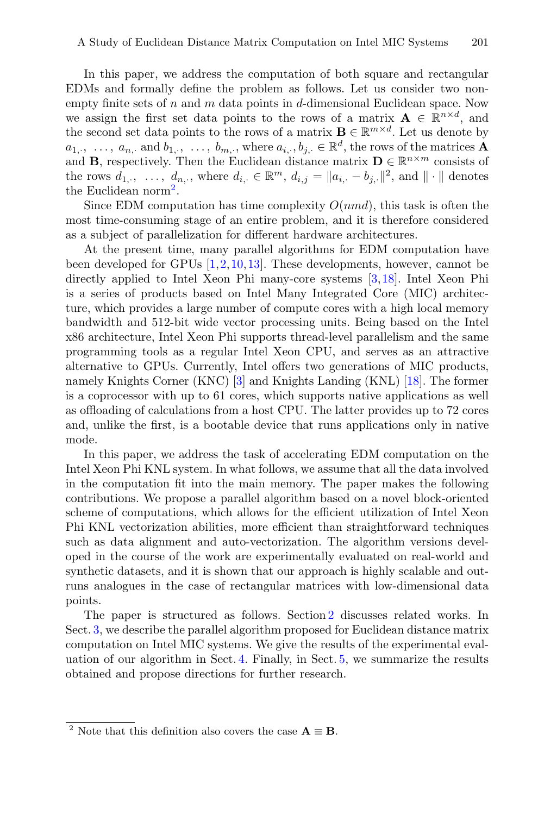In this paper, we address the computation of both square and rectangular EDMs and formally define the problem as follows. Let us consider two nonempty finite sets of *n* and *m* data points in *d*-dimensional Euclidean space. Now we assign the first set data points to the rows of a matrix  $\mathbf{A} \in \mathbb{R}^{n \times d}$ , and the second set data points to the rows of a matrix  $\mathbf{B} \in \mathbb{R}^{m \times d}$ . Let us denote by  $a_1, \ldots, a_n$  and  $b_1, \ldots, b_m, \ldots$  where  $a_i, b_j, \ldots \in \mathbb{R}^d$ , the rows of the matrices  $\mathbf{A}$ and **B**, respectively. Then the Euclidean distance matrix  $\mathbf{D} \in \mathbb{R}^{n \times m}$  consists of the rows  $d_1, \ldots, d_{n,\cdot}$ , where  $d_i \in \mathbb{R}^m$ ,  $d_{i,j} = ||a_{i,\cdot} - b_{j,\cdot}||^2$ , and  $|| \cdot ||$  denotes the Euclidean norm[2](#page-1-0).

Since EDM computation has time complexity *O*(*nmd*), this task is often the most time-consuming stage of an entire problem, and it is therefore considered as a subject of parallelization for different hardware architectures.

At the present time, many parallel algorithms for EDM computation have been developed for GPUs [\[1](#page-14-5)[,2](#page-14-2),[10,](#page-14-6)[13](#page-14-7)]. These developments, however, cannot be directly applied to Intel Xeon Phi many-core systems [\[3,](#page-14-8)[18](#page-15-2)]. Intel Xeon Phi is a series of products based on Intel Many Integrated Core (MIC) architecture, which provides a large number of compute cores with a high local memory bandwidth and 512-bit wide vector processing units. Being based on the Intel x86 architecture, Intel Xeon Phi supports thread-level parallelism and the same programming tools as a regular Intel Xeon CPU, and serves as an attractive alternative to GPUs. Currently, Intel offers two generations of MIC products, namely Knights Corner (KNC) [\[3](#page-14-8)] and Knights Landing (KNL) [\[18\]](#page-15-2). The former is a coprocessor with up to 61 cores, which supports native applications as well as offloading of calculations from a host CPU. The latter provides up to 72 cores and, unlike the first, is a bootable device that runs applications only in native mode.

In this paper, we address the task of accelerating EDM computation on the Intel Xeon Phi KNL system. In what follows, we assume that all the data involved in the computation fit into the main memory. The paper makes the following contributions. We propose a parallel algorithm based on a novel block-oriented scheme of computations, which allows for the efficient utilization of Intel Xeon Phi KNL vectorization abilities, more efficient than straightforward techniques such as data alignment and auto-vectorization. The algorithm versions developed in the course of the work are experimentally evaluated on real-world and synthetic datasets, and it is shown that our approach is highly scalable and outruns analogues in the case of rectangular matrices with low-dimensional data points.

The paper is structured as follows. Section [2](#page-2-0) discusses related works. In Sect. [3,](#page-4-0) we describe the parallel algorithm proposed for Euclidean distance matrix computation on Intel MIC systems. We give the results of the experimental evaluation of our algorithm in Sect. [4.](#page-6-0) Finally, in Sect. [5,](#page-13-0) we summarize the results obtained and propose directions for further research.

<span id="page-1-0"></span><sup>&</sup>lt;sup>2</sup> Note that this definition also covers the case  $\mathbf{A} \equiv \mathbf{B}$ .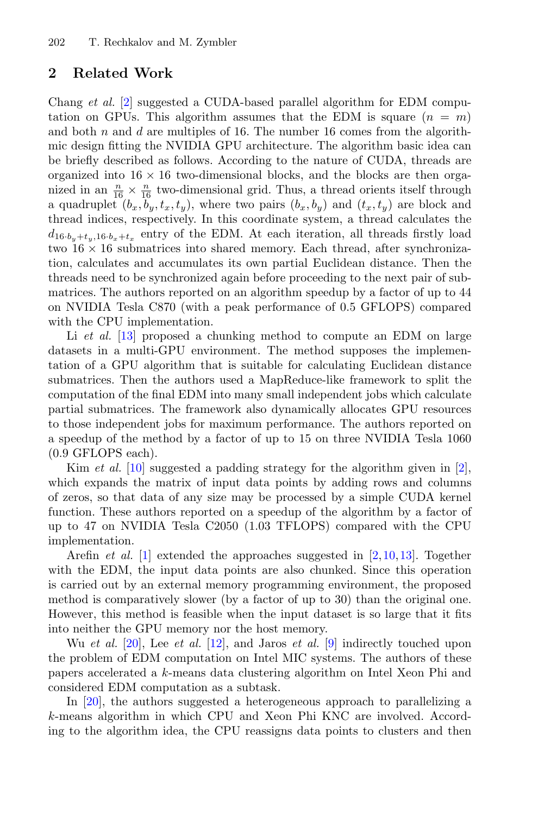### <span id="page-2-0"></span>**2 Related Work**

Chang *et al.* [\[2\]](#page-14-2) suggested a CUDA-based parallel algorithm for EDM computation on GPUs. This algorithm assumes that the EDM is square  $(n = m)$ and both *n* and *d* are multiples of 16. The number 16 comes from the algorithmic design fitting the NVIDIA GPU architecture. The algorithm basic idea can be briefly described as follows. According to the nature of CUDA, threads are organized into  $16 \times 16$  two-dimensional blocks, and the blocks are then organized in an  $\frac{n}{16} \times \frac{n}{16}$  two-dimensional grid. Thus, a thread orients itself through a quadruplet  $(b_x, b_y, t_x, t_y)$ , where two pairs  $(b_x, b_y)$  and  $(t_x, t_y)$  are block and thread indices, respectively. In this coordinate system, a thread calculates the  $d_{16 \cdot b_y + t_y, 16 \cdot b_x + t_x}$  entry of the EDM. At each iteration, all threads firstly load two  $16 \times 16$  submatrices into shared memory. Each thread, after synchronization, calculates and accumulates its own partial Euclidean distance. Then the threads need to be synchronized again before proceeding to the next pair of submatrices. The authors reported on an algorithm speedup by a factor of up to 44 on NVIDIA Tesla C870 (with a peak performance of 0.5 GFLOPS) compared with the CPU implementation.

Li *et al.* [\[13\]](#page-14-7) proposed a chunking method to compute an EDM on large datasets in a multi-GPU environment. The method supposes the implementation of a GPU algorithm that is suitable for calculating Euclidean distance submatrices. Then the authors used a MapReduce-like framework to split the computation of the final EDM into many small independent jobs which calculate partial submatrices. The framework also dynamically allocates GPU resources to those independent jobs for maximum performance. The authors reported on a speedup of the method by a factor of up to 15 on three NVIDIA Tesla 1060 (0.9 GFLOPS each).

Kim *et al.* [\[10\]](#page-14-6) suggested a padding strategy for the algorithm given in [\[2\]](#page-14-2), which expands the matrix of input data points by adding rows and columns of zeros, so that data of any size may be processed by a simple CUDA kernel function. These authors reported on a speedup of the algorithm by a factor of up to 47 on NVIDIA Tesla C2050 (1.03 TFLOPS) compared with the CPU implementation.

Arefin *et al.* [\[1](#page-14-5)] extended the approaches suggested in [\[2](#page-14-2)[,10,](#page-14-6)[13\]](#page-14-7). Together with the EDM, the input data points are also chunked. Since this operation is carried out by an external memory programming environment, the proposed method is comparatively slower (by a factor of up to 30) than the original one. However, this method is feasible when the input dataset is so large that it fits into neither the GPU memory nor the host memory.

Wu *et al.* [\[20](#page-15-3)], Lee *et al.* [\[12\]](#page-14-3), and Jaros *et al.* [\[9](#page-14-9)] indirectly touched upon the problem of EDM computation on Intel MIC systems. The authors of these papers accelerated a *k*-means data clustering algorithm on Intel Xeon Phi and considered EDM computation as a subtask.

In [\[20\]](#page-15-3), the authors suggested a heterogeneous approach to parallelizing a *k*-means algorithm in which CPU and Xeon Phi KNC are involved. According to the algorithm idea, the CPU reassigns data points to clusters and then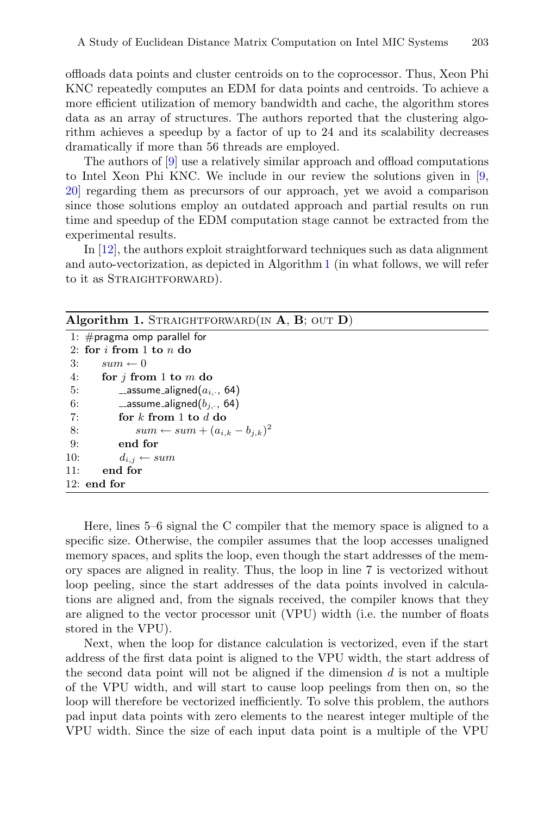offloads data points and cluster centroids on to the coprocessor. Thus, Xeon Phi KNC repeatedly computes an EDM for data points and centroids. To achieve a more efficient utilization of memory bandwidth and cache, the algorithm stores data as an array of structures. The authors reported that the clustering algorithm achieves a speedup by a factor of up to 24 and its scalability decreases dramatically if more than 56 threads are employed.

The authors of [\[9\]](#page-14-9) use a relatively similar approach and offload computations to Intel Xeon Phi KNC. We include in our review the solutions given in [\[9,](#page-14-9) [20\]](#page-15-3) regarding them as precursors of our approach, yet we avoid a comparison since those solutions employ an outdated approach and partial results on run time and speedup of the EDM computation stage cannot be extracted from the experimental results.

In [\[12\]](#page-14-3), the authors exploit straightforward techniques such as data alignment and auto-vectorization, as depicted in Algorithm [1](#page-3-0) (in what follows, we will refer to it as STRAIGHTFORWARD).

<span id="page-3-0"></span>

| Algorithm 1. STRAIGHTFORWARD(IN $A$ , $B$ ; out $D$ )<br>1: $\#$ pragma omp parallel for<br>2: for $i$ from 1 to $n$ do<br>3:<br>$sum \leftarrow 0$<br>4:<br>for $i$ from 1 to m do<br>$\text{L}$ assume $\text{L}$ aligned $(a_i, \ldots, 64)$<br>5:<br>$\text{L}$ assume aligned $(b_i, 64)$<br>6:<br>for k from 1 to d do<br>7:<br>$sum \leftarrow sum + (a_{i,k} - b_{i,k})^2$<br>8:<br>9:<br>end for<br>10:<br>$d_{i,j} \leftarrow sum$<br>11:<br>end for<br>$12:$ end for |  |
|---------------------------------------------------------------------------------------------------------------------------------------------------------------------------------------------------------------------------------------------------------------------------------------------------------------------------------------------------------------------------------------------------------------------------------------------------------------------------------|--|
|                                                                                                                                                                                                                                                                                                                                                                                                                                                                                 |  |
|                                                                                                                                                                                                                                                                                                                                                                                                                                                                                 |  |
|                                                                                                                                                                                                                                                                                                                                                                                                                                                                                 |  |
|                                                                                                                                                                                                                                                                                                                                                                                                                                                                                 |  |
|                                                                                                                                                                                                                                                                                                                                                                                                                                                                                 |  |
|                                                                                                                                                                                                                                                                                                                                                                                                                                                                                 |  |
|                                                                                                                                                                                                                                                                                                                                                                                                                                                                                 |  |
|                                                                                                                                                                                                                                                                                                                                                                                                                                                                                 |  |
|                                                                                                                                                                                                                                                                                                                                                                                                                                                                                 |  |
|                                                                                                                                                                                                                                                                                                                                                                                                                                                                                 |  |
|                                                                                                                                                                                                                                                                                                                                                                                                                                                                                 |  |
|                                                                                                                                                                                                                                                                                                                                                                                                                                                                                 |  |
|                                                                                                                                                                                                                                                                                                                                                                                                                                                                                 |  |

Here, lines 5–6 signal the C compiler that the memory space is aligned to a specific size. Otherwise, the compiler assumes that the loop accesses unaligned memory spaces, and splits the loop, even though the start addresses of the memory spaces are aligned in reality. Thus, the loop in line 7 is vectorized without loop peeling, since the start addresses of the data points involved in calculations are aligned and, from the signals received, the compiler knows that they are aligned to the vector processor unit (VPU) width (i.e. the number of floats stored in the VPU).

Next, when the loop for distance calculation is vectorized, even if the start address of the first data point is aligned to the VPU width, the start address of the second data point will not be aligned if the dimension *d* is not a multiple of the VPU width, and will start to cause loop peelings from then on, so the loop will therefore be vectorized inefficiently. To solve this problem, the authors pad input data points with zero elements to the nearest integer multiple of the VPU width. Since the size of each input data point is a multiple of the VPU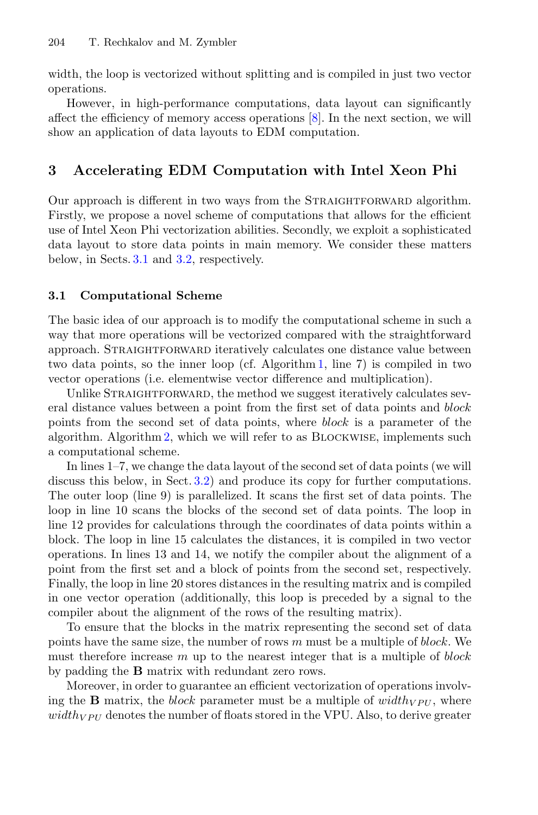width, the loop is vectorized without splitting and is compiled in just two vector operations.

However, in high-performance computations, data layout can significantly affect the efficiency of memory access operations [\[8\]](#page-14-10). In the next section, we will show an application of data layouts to EDM computation.

### <span id="page-4-0"></span>**3 Accelerating EDM Computation with Intel Xeon Phi**

Our approach is different in two ways from the STRAIGHTFORWARD algorithm. Firstly, we propose a novel scheme of computations that allows for the efficient use of Intel Xeon Phi vectorization abilities. Secondly, we exploit a sophisticated data layout to store data points in main memory. We consider these matters below, in Sects. [3.1](#page-4-1) and [3.2,](#page-5-0) respectively.

### <span id="page-4-1"></span>**3.1 Computational Scheme**

The basic idea of our approach is to modify the computational scheme in such a way that more operations will be vectorized compared with the straightforward approach. STRAIGHTFORWARD iteratively calculates one distance value between two data points, so the inner loop (cf. Algorithm [1,](#page-3-0) line 7) is compiled in two vector operations (i.e. elementwise vector difference and multiplication).

Unlike STRAIGHTFORWARD, the method we suggest iteratively calculates several distance values between a point from the first set of data points and *block* points from the second set of data points, where *block* is a parameter of the algorithm. Algorithm [2,](#page-5-1) which we will refer to as Blockwise, implements such a computational scheme.

In lines 1–7, we change the data layout of the second set of data points (we will discuss this below, in Sect. [3.2\)](#page-5-0) and produce its copy for further computations. The outer loop (line 9) is parallelized. It scans the first set of data points. The loop in line 10 scans the blocks of the second set of data points. The loop in line 12 provides for calculations through the coordinates of data points within a block. The loop in line 15 calculates the distances, it is compiled in two vector operations. In lines 13 and 14, we notify the compiler about the alignment of a point from the first set and a block of points from the second set, respectively. Finally, the loop in line 20 stores distances in the resulting matrix and is compiled in one vector operation (additionally, this loop is preceded by a signal to the compiler about the alignment of the rows of the resulting matrix).

To ensure that the blocks in the matrix representing the second set of data points have the same size, the number of rows *m* must be a multiple of *block*. We must therefore increase *m* up to the nearest integer that is a multiple of *block* by padding the **B** matrix with redundant zero rows.

Moreover, in order to guarantee an efficient vectorization of operations involving the **B** matrix, the *block* parameter must be a multiple of  $width_{VPU}$ , where  $width_{VPU}$  denotes the number of floats stored in the VPU. Also, to derive greater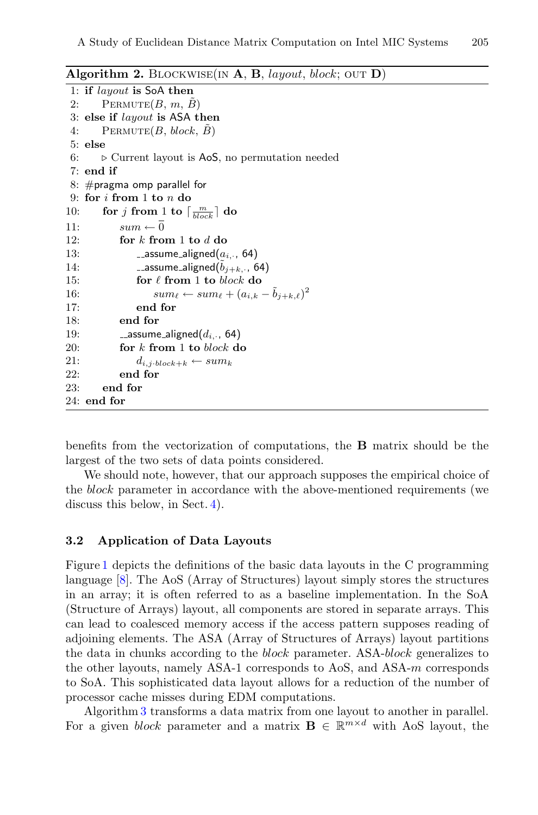```
Algorithm 2. Blockwise(in A, B, layout, block; out D)
```

```
1: if layout is SoA then
 2: PERMUTE(B, m, \tilde{B})3: else if layout is ASA then
 4: PERMUTE(B, block, B)5: else
 6:\triangleright Current layout is AoS, no permutation needed
 7: end if
 8: #pragma omp parallel for
 9: for i from 1 to n do
10: for j from 1 to \left\lceil \frac{m}{block} \right\rceil do
11: sum \leftarrow \overline{0}<br>12: for k fro
               12: for k from 1 to d do
13: assume aligned(a_i, b, 64)<br>14: assume aligned(\tilde{b}_{i+k}, b_{i+k})14: assume aligned(\tilde{b}_{j+k, \cdot}, 64)<br>15: for l from 1 to block do
                    for \ell from 1 to block do
16: sum_{\ell} \leftarrow sum_{\ell} + (a_{i,k} - \tilde{b}_{j+k,\ell})^217: end for
18: end for
19: and \begin{bmatrix} 19: & \text{Answer: } 10 \end{bmatrix} assume aligned (d_{i, \cdot}, 64) and d_{i, \cdot} for k from 1 to block denote
               \int for k from 1 to block do
21: d_{i,j \cdot block+k} \leftarrow sum_k<br>22: end for
               end for
23: end for
24: end for
```
benefits from the vectorization of computations, the **B** matrix should be the largest of the two sets of data points considered.

We should note, however, that our approach supposes the empirical choice of the *block* parameter in accordance with the above-mentioned requirements (we discuss this below, in Sect. [4\)](#page-6-0).

#### <span id="page-5-0"></span>**3.2 Application of Data Layouts**

Figure [1](#page-6-1) depicts the definitions of the basic data layouts in the C programming language [\[8\]](#page-14-10). The AoS (Array of Structures) layout simply stores the structures in an array; it is often referred to as a baseline implementation. In the SoA (Structure of Arrays) layout, all components are stored in separate arrays. This can lead to coalesced memory access if the access pattern supposes reading of adjoining elements. The ASA (Array of Structures of Arrays) layout partitions the data in chunks according to the *block* parameter. ASA-*block* generalizes to the other layouts, namely ASA-1 corresponds to AoS, and ASA-*m* corresponds to SoA. This sophisticated data layout allows for a reduction of the number of processor cache misses during EDM computations.

Algorithm [3](#page-6-2) transforms a data matrix from one layout to another in parallel. For a given *block* parameter and a matrix  $\mathbf{B} \in \mathbb{R}^{m \times d}$  with AoS layout, the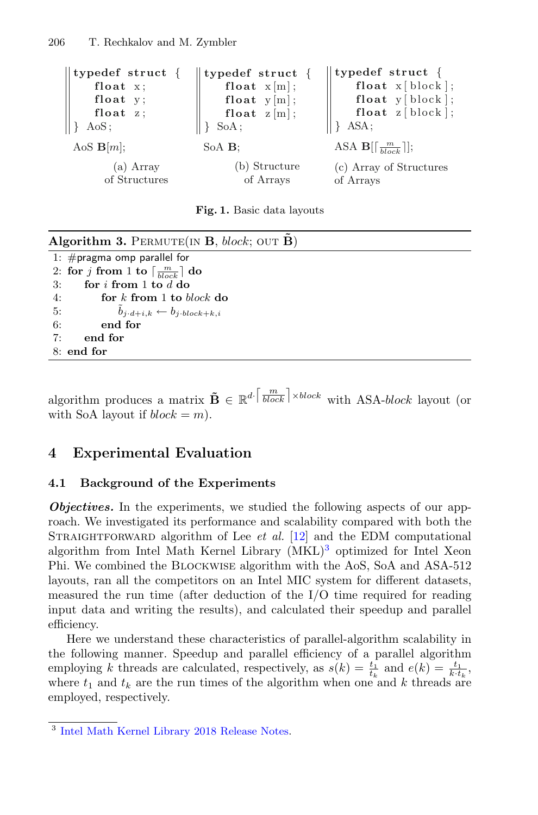206 T. Rechkalov and M. Zymbler



<span id="page-6-1"></span>

|  |  |  | Fig. 1. Basic data layouts |
|--|--|--|----------------------------|
|--|--|--|----------------------------|

<span id="page-6-2"></span>

algorithm produces a matrix  $\tilde{\mathbf{B}} \in \mathbb{R}^{d \cdot \left\lceil \frac{m}{block} \right\rceil \times block}$  with ASA-*block* layout (or with SoA layout if  $block = m$ ).

### <span id="page-6-0"></span>**4 Experimental Evaluation**

### **4.1 Background of the Experiments**

*Objectives*. In the experiments, we studied the following aspects of our approach. We investigated its performance and scalability compared with both the STRAIGHTFORWARD algorithm of Lee *et al.* [\[12](#page-14-3)] and the EDM computational algorithm from Intel Math Kernel Library  $(MKL)^3$  $(MKL)^3$  optimized for Intel Xeon Phi. We combined the Blockwise algorithm with the AoS, SoA and ASA-512 layouts, ran all the competitors on an Intel MIC system for different datasets, measured the run time (after deduction of the I/O time required for reading input data and writing the results), and calculated their speedup and parallel efficiency.

Here we understand these characteristics of parallel-algorithm scalability in the following manner. Speedup and parallel efficiency of a parallel algorithm employing *k* threads are calculated, respectively, as  $s(k) = \frac{t_1}{t_k}$  and  $e(k) = \frac{t_1}{k \cdot t_k}$ , where  $t_1$  and  $t_k$  are the run times of the algorithm when one and k threads are employed, respectively.

<span id="page-6-3"></span><sup>3</sup> [Intel Math Kernel Library 2018 Release Notes.](https://software.intel.com/en-us/articles/intel-math-kernel-library-intel-mkl-2018-release-notes)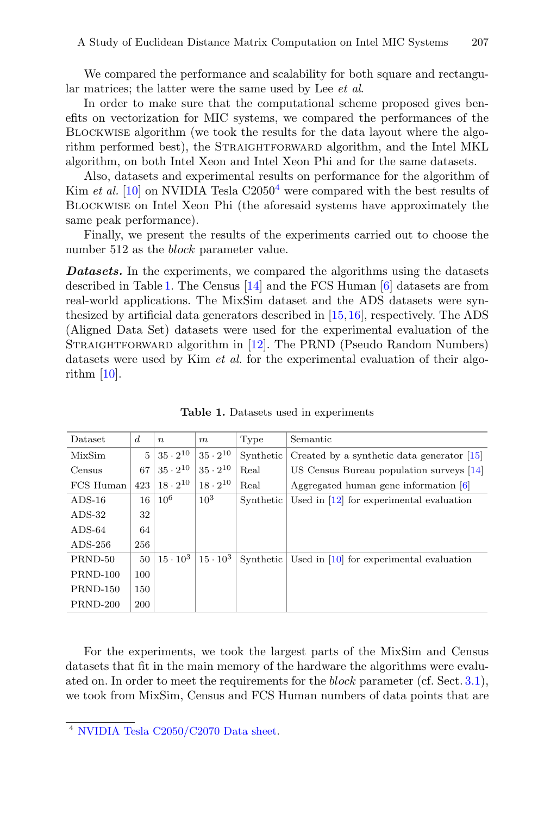We compared the performance and scalability for both square and rectangular matrices; the latter were the same used by Lee *et al*.

In order to make sure that the computational scheme proposed gives benefits on vectorization for MIC systems, we compared the performances of the Blockwise algorithm (we took the results for the data layout where the algorithm performed best), the STRAIGHTFORWARD algorithm, and the Intel MKL algorithm, on both Intel Xeon and Intel Xeon Phi and for the same datasets.

Also, datasets and experimental results on performance for the algorithm of Kim *et al.* [\[10\]](#page-14-6) on NVIDIA Tesla  $C2050<sup>4</sup>$  $C2050<sup>4</sup>$  $C2050<sup>4</sup>$  were compared with the best results of Blockwise on Intel Xeon Phi (the aforesaid systems have approximately the same peak performance).

Finally, we present the results of the experiments carried out to choose the number 512 as the *block* parameter value.

*Datasets.* In the experiments, we compared the algorithms using the datasets described in Table [1.](#page-7-1) The Census [\[14\]](#page-14-11) and the FCS Human [\[6](#page-14-12)] datasets are from real-world applications. The MixSim dataset and the ADS datasets were synthesized by artificial data generators described in [\[15,](#page-15-4)[16\]](#page-15-5), respectively. The ADS (Aligned Data Set) datasets were used for the experimental evaluation of the STRAIGHTFORWARD algorithm in [\[12](#page-14-3)]. The PRND (Pseudo Random Numbers) datasets were used by Kim *et al.* for the experimental evaluation of their algorithm [\[10](#page-14-6)].

<span id="page-7-1"></span>

| Dataset         | $\boldsymbol{d}$ | $\boldsymbol{n}$  | m                 | Type      | Semantic                                              |
|-----------------|------------------|-------------------|-------------------|-----------|-------------------------------------------------------|
| MixSim          | $5^{\circ}$      | $35 \cdot 2^{10}$ | $35 \cdot 2^{10}$ | Synthetic | Created by a synthetic data generator $[15]$          |
| Census          | 67               | $35 \cdot 2^{10}$ | $35 \cdot 2^{10}$ | Real      | US Census Bureau population surveys $[14]$            |
| FCS Human       | 423              | $18 \cdot 2^{10}$ | $18 \cdot 2^{10}$ | Real      | Aggregated human gene information $[6]$               |
| $ADS-16$        | 16               | $10^6$            | $10^3$            | Synthetic | Used in $\left[12\right]$ for experimental evaluation |
| $ADS-32$        | 32               |                   |                   |           |                                                       |
| $ADS-64$        | 64               |                   |                   |           |                                                       |
| ADS-256         | 256              |                   |                   |           |                                                       |
| PRND-50         | 50 <sup>1</sup>  | $15 \cdot 10^3$   | $15 \cdot 10^3$   | Synthetic | Used in $[10]$ for experimental evaluation            |
| <b>PRND-100</b> | 100              |                   |                   |           |                                                       |
| <b>PRND-150</b> | 150              |                   |                   |           |                                                       |
| PRND-200        | 200              |                   |                   |           |                                                       |

**Table 1.** Datasets used in experiments

For the experiments, we took the largest parts of the MixSim and Census datasets that fit in the main memory of the hardware the algorithms were evaluated on. In order to meet the requirements for the *block* parameter (cf. Sect. [3.1\)](#page-4-1), we took from MixSim, Census and FCS Human numbers of data points that are

<span id="page-7-0"></span> $^4$  [NVIDIA Tesla C2050/C2070 Data sheet.](http://www.nvidia.com/docs/IO/43395/NV_DS_Tesla_C2050_C2070_jul10_lores.pdf)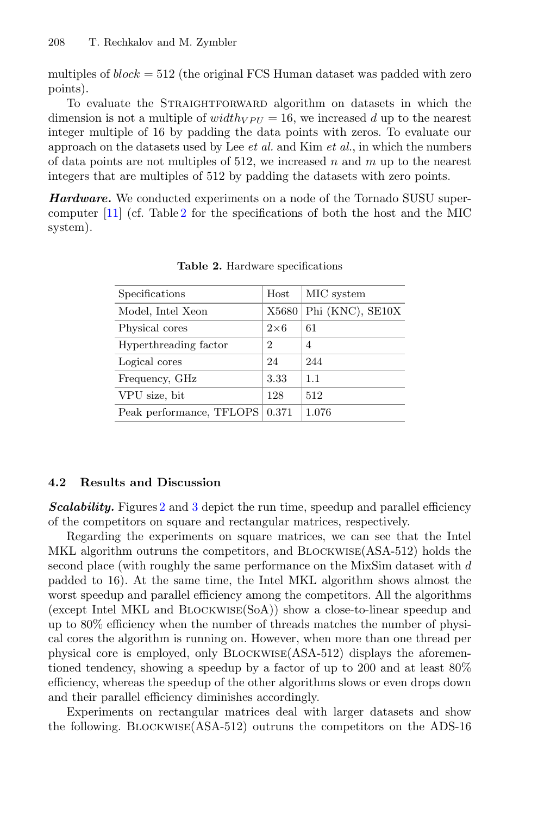multiples of  $block = 512$  (the original FCS Human dataset was padded with zero points).

To evaluate the Straightforward algorithm on datasets in which the dimension is not a multiple of  $width_{VPU} = 16$ , we increased d up to the nearest integer multiple of 16 by padding the data points with zeros. To evaluate our approach on the datasets used by Lee *et al.* and Kim *et al.*, in which the numbers of data points are not multiples of 512, we increased *n* and *m* up to the nearest integers that are multiples of 512 by padding the datasets with zero points.

<span id="page-8-0"></span>*Hardware.* We conducted experiments on a node of the Tornado SUSU supercomputer [\[11](#page-14-13)] (cf. Table [2](#page-8-0) for the specifications of both the host and the MIC system).

| Specifications           | Host        | MIC system       |
|--------------------------|-------------|------------------|
| Model, Intel Xeon        | X5680       | Phi (KNC), SE10X |
| Physical cores           | $2\times 6$ | 61               |
| Hyperthreading factor    | 2           | 4                |
| Logical cores            | 24          | 244              |
| Frequency, GHz           | 3.33        | 1.1              |
| VPU size, bit            | 128         | 512              |
| Peak performance, TFLOPS | 0.371       | 1.076            |

**Table 2.** Hardware specifications

#### **4.2 Results and Discussion**

**Scalability.** Figures [2](#page-9-0) and [3](#page-10-0) depict the run time, speedup and parallel efficiency of the competitors on square and rectangular matrices, respectively.

Regarding the experiments on square matrices, we can see that the Intel MKL algorithm outruns the competitors, and Blockwise(ASA-512) holds the second place (with roughly the same performance on the MixSim dataset with *d* padded to 16). At the same time, the Intel MKL algorithm shows almost the worst speedup and parallel efficiency among the competitors. All the algorithms (except Intel MKL and Blockwise(SoA)) show a close-to-linear speedup and up to 80% efficiency when the number of threads matches the number of physical cores the algorithm is running on. However, when more than one thread per physical core is employed, only Blockwise(ASA-512) displays the aforementioned tendency, showing a speedup by a factor of up to 200 and at least 80% efficiency, whereas the speedup of the other algorithms slows or even drops down and their parallel efficiency diminishes accordingly.

Experiments on rectangular matrices deal with larger datasets and show the following. Blockwise(ASA-512) outruns the competitors on the ADS-16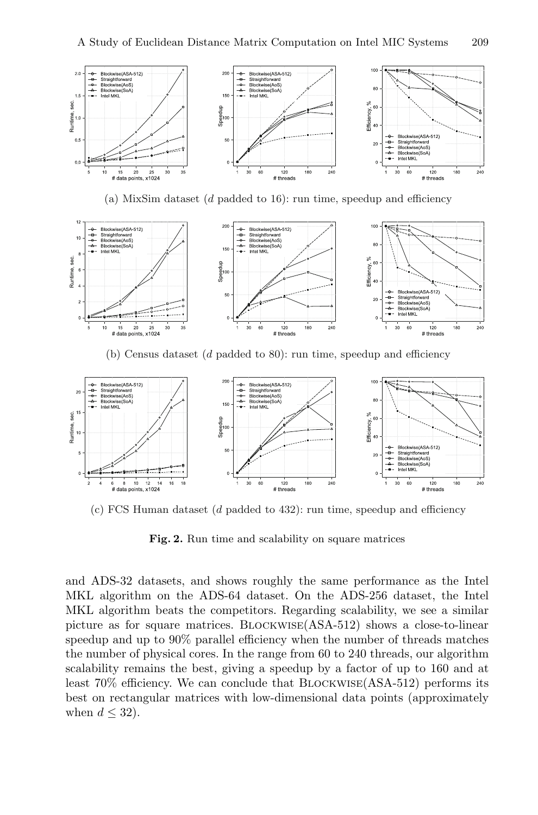

(a) MixSim dataset (*d* padded to 16): run time, speedup and efficiency



(b) Census dataset (*d* padded to 80): run time, speedup and efficiency



(c) FCS Human dataset (*d* padded to 432): run time, speedup and efficiency

<span id="page-9-0"></span>**Fig. 2.** Run time and scalability on square matrices

and ADS-32 datasets, and shows roughly the same performance as the Intel MKL algorithm on the ADS-64 dataset. On the ADS-256 dataset, the Intel MKL algorithm beats the competitors. Regarding scalability, we see a similar picture as for square matrices. Blockwise(ASA-512) shows a close-to-linear speedup and up to 90% parallel efficiency when the number of threads matches the number of physical cores. In the range from 60 to 240 threads, our algorithm scalability remains the best, giving a speedup by a factor of up to 160 and at least 70% efficiency. We can conclude that Blockwise(ASA-512) performs its best on rectangular matrices with low-dimensional data points (approximately when  $d \leq 32$ ).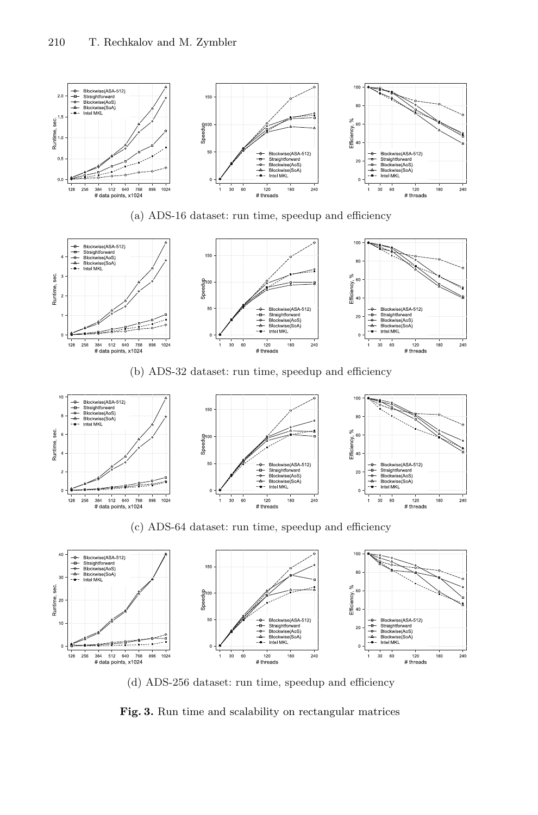

(a) ADS-16 dataset: run time, speedup and efficiency



(b) ADS-32 dataset: run time, speedup and efficiency



(c) ADS-64 dataset: run time, speedup and efficiency



<span id="page-10-0"></span>(d) ADS-256 dataset: run time, speedup and efficiency

**Fig. 3.** Run time and scalability on rectangular matrices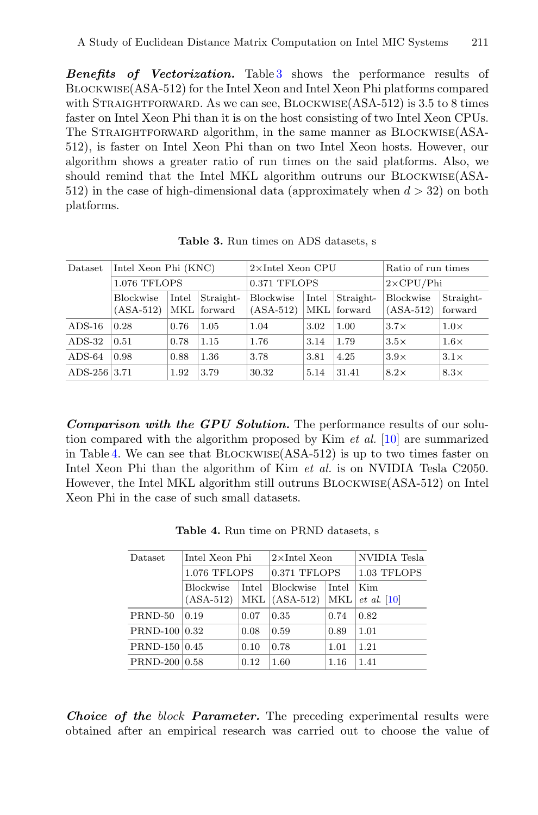**Benefits of Vectorization.** Table [3](#page-11-0) shows the performance results of Blockwise(ASA-512) for the Intel Xeon and Intel Xeon Phi platforms compared with STRAIGHTFORWARD. As we can see, BLOCKWISE $(ASA-512)$  is 3.5 to 8 times faster on Intel Xeon Phi than it is on the host consisting of two Intel Xeon CPUs. The STRAIGHTFORWARD algorithm, in the same manner as BLOCKWISE(ASA-512), is faster on Intel Xeon Phi than on two Intel Xeon hosts. However, our algorithm shows a greater ratio of run times on the said platforms. Also, we should remind that the Intel MKL algorithm outruns our Blockwise(ASA-512) in the case of high-dimensional data (approximately when *d >* 32) on both platforms.

<span id="page-11-0"></span>

| Dataset        | Intel Xeon Phi (KNC)            |              |                      | $2\times$ Intel Xeon CPU        |       |                          | Ratio of run times              |                      |
|----------------|---------------------------------|--------------|----------------------|---------------------------------|-------|--------------------------|---------------------------------|----------------------|
|                | 1.076 TFLOPS                    |              |                      | 0.371 TFLOPS                    |       |                          | $2\times$ CPU/Phi               |                      |
|                | <b>Blockwise</b><br>$(ASA-512)$ | Intel<br>MKL | Straight-<br>forward | <b>Blockwise</b><br>$(ASA-512)$ | Intel | Straight-<br>MKL forward | <b>Blockwise</b><br>$(ASA-512)$ | Straight-<br>forward |
| $ADS-16$       | 0.28                            | 0.76         | 1.05                 | 1.04                            | 3.02  | 1.00                     | $3.7\times$                     | $1.0\times$          |
| $ADS-32$       | 0.51                            | 0.78         | 1.15                 | 1.76                            | 3.14  | 1.79                     | $3.5\times$                     | $1.6\times$          |
| $ADS-64$       | 0.98                            | 0.88         | 1.36                 | 3.78                            | 3.81  | 4.25                     | $3.9\times$                     | $3.1\times$          |
| ADS-256 $3.71$ |                                 | 1.92         | 3.79                 | 30.32                           | 5.14  | 31.41                    | $8.2\times$                     | $8.3\times$          |

**Table 3.** Run times on ADS datasets, s

*Comparison with the GPU Solution.* The performance results of our solution compared with the algorithm proposed by Kim *et al.* [\[10](#page-14-6)] are summarized in Table [4.](#page-11-1) We can see that Blockwise(ASA-512) is up to two times faster on Intel Xeon Phi than the algorithm of Kim *et al.* is on NVIDIA Tesla C2050. However, the Intel MKL algorithm still outruns Blockwise(ASA-512) on Intel Xeon Phi in the case of such small datasets.

<span id="page-11-1"></span>

| Dataset         | Intel Xeon Phi   |       | $2\times$ Intel Xeon      | NVIDIA Tesla |                 |  |  |
|-----------------|------------------|-------|---------------------------|--------------|-----------------|--|--|
|                 | 1.076 TFLOPS     |       | 0.371 TFLOPS              |              | 1.03 TFLOPS     |  |  |
|                 | <b>Blockwise</b> | Intel | <b>Blockwise</b><br>Intel |              | Kim             |  |  |
|                 | $(ASA-512)$      | MKL   | $(ASA-512)$               | MKL          | $et \ al.$ [10] |  |  |
| PRND-50         | 0.19             | 0.07  | 0.35                      | 0.74         | 0.82            |  |  |
| PRND-100 0.32   |                  | 0.08  | 0.59                      | 0.89         | 1.01            |  |  |
| PRND-150 0.45   |                  | 0.10  | 0.78                      | 1.01         | 1.21            |  |  |
| <b>PRND-200</b> | 0.58             | 0.12  | 1.60                      | 1.16         | 1.41            |  |  |

**Table 4.** Run time on PRND datasets, s

*Choice of the block Parameter.* The preceding experimental results were obtained after an empirical research was carried out to choose the value of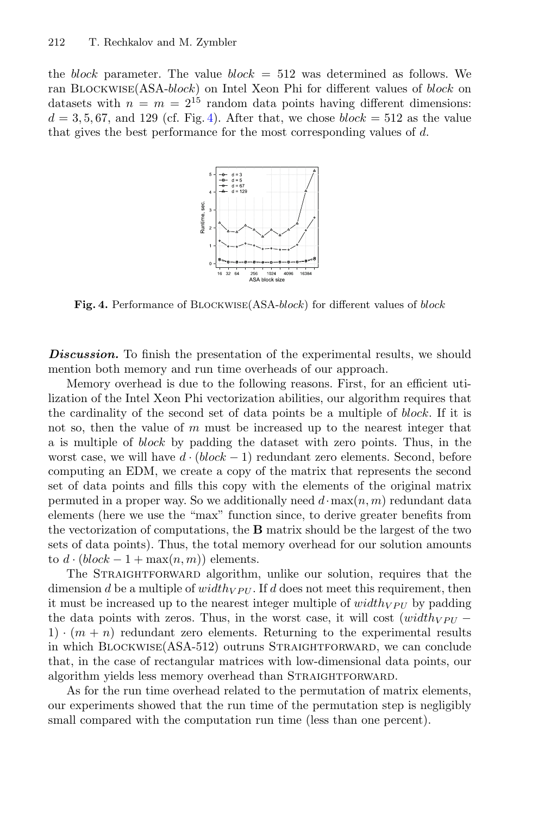the *block* parameter. The value *block* = 512 was determined as follows. We ran Blockwise(ASA-*block*) on Intel Xeon Phi for different values of *block* on datasets with  $n = m = 2^{15}$  random data points having different dimensions:  $d = 3, 5, 67$ , and 129 (cf. Fig. [4\)](#page-12-0). After that, we chose  $block = 512$  as the value that gives the best performance for the most corresponding values of *d*.

<span id="page-12-0"></span>

**Fig. 4.** Performance of BLOCKWISE(ASA-block) for different values of block

**Discussion.** To finish the presentation of the experimental results, we should mention both memory and run time overheads of our approach.

Memory overhead is due to the following reasons. First, for an efficient utilization of the Intel Xeon Phi vectorization abilities, our algorithm requires that the cardinality of the second set of data points be a multiple of *block*. If it is not so, then the value of *m* must be increased up to the nearest integer that a is multiple of *block* by padding the dataset with zero points. Thus, in the worst case, we will have *<sup>d</sup>* · (*block* <sup>−</sup> 1) redundant zero elements. Second, before computing an EDM, we create a copy of the matrix that represents the second set of data points and fills this copy with the elements of the original matrix permuted in a proper way. So we additionally need *<sup>d</sup>*·max(*n, m*) redundant data elements (here we use the "max" function since, to derive greater benefits from the vectorization of computations, the **B** matrix should be the largest of the two sets of data points). Thus, the total memory overhead for our solution amounts to  $d \cdot (block -1 + \max(n, m))$  elements.

The STRAIGHTFORWARD algorithm, unlike our solution, requires that the dimension *d* be a multiple of *width* $V_{PI}$ . If *d* does not meet this requirement, then it must be increased up to the nearest integer multiple of  $width_{VPU}$  by padding the data points with zeros. Thus, in the worst case, it will cost  $(width_{VPU}$  –  $1) \cdot (m + n)$  redundant zero elements. Returning to the experimental results in which BLOCKWISE(ASA-512) outruns STRAIGHTFORWARD, we can conclude that, in the case of rectangular matrices with low-dimensional data points, our algorithm yields less memory overhead than STRAIGHTFORWARD.

As for the run time overhead related to the permutation of matrix elements, our experiments showed that the run time of the permutation step is negligibly small compared with the computation run time (less than one percent).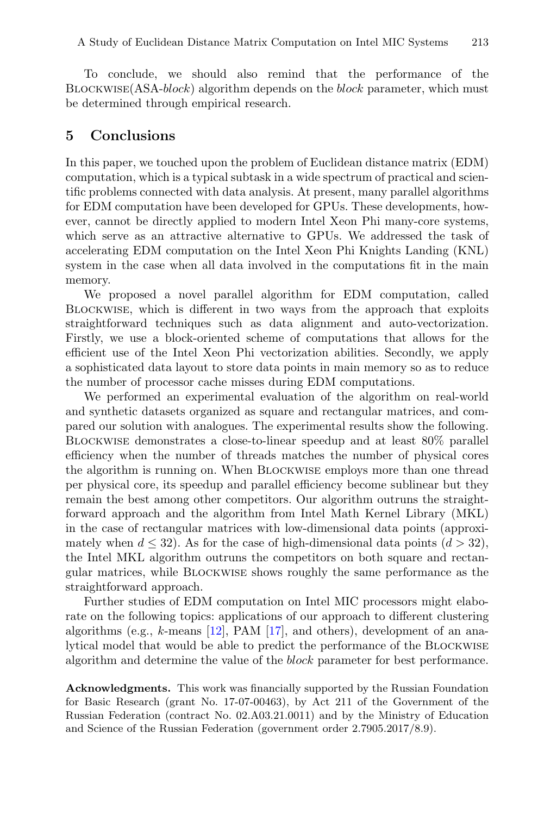To conclude, we should also remind that the performance of the Blockwise(ASA-*block*) algorithm depends on the *block* parameter, which must be determined through empirical research.

### <span id="page-13-0"></span>**5 Conclusions**

In this paper, we touched upon the problem of Euclidean distance matrix (EDM) computation, which is a typical subtask in a wide spectrum of practical and scientific problems connected with data analysis. At present, many parallel algorithms for EDM computation have been developed for GPUs. These developments, however, cannot be directly applied to modern Intel Xeon Phi many-core systems, which serve as an attractive alternative to GPUs. We addressed the task of accelerating EDM computation on the Intel Xeon Phi Knights Landing (KNL) system in the case when all data involved in the computations fit in the main memory.

We proposed a novel parallel algorithm for EDM computation, called Blockwise, which is different in two ways from the approach that exploits straightforward techniques such as data alignment and auto-vectorization. Firstly, we use a block-oriented scheme of computations that allows for the efficient use of the Intel Xeon Phi vectorization abilities. Secondly, we apply a sophisticated data layout to store data points in main memory so as to reduce the number of processor cache misses during EDM computations.

We performed an experimental evaluation of the algorithm on real-world and synthetic datasets organized as square and rectangular matrices, and compared our solution with analogues. The experimental results show the following. Blockwise demonstrates a close-to-linear speedup and at least 80% parallel efficiency when the number of threads matches the number of physical cores the algorithm is running on. When Blockwise employs more than one thread per physical core, its speedup and parallel efficiency become sublinear but they remain the best among other competitors. Our algorithm outruns the straightforward approach and the algorithm from Intel Math Kernel Library (MKL) in the case of rectangular matrices with low-dimensional data points (approximately when  $d \leq 32$ ). As for the case of high-dimensional data points  $(d > 32)$ , the Intel MKL algorithm outruns the competitors on both square and rectangular matrices, while Blockwise shows roughly the same performance as the straightforward approach.

Further studies of EDM computation on Intel MIC processors might elaborate on the following topics: applications of our approach to different clustering algorithms (e.g., *k*-means [\[12](#page-14-3)], PAM [\[17\]](#page-15-6), and others), development of an analytical model that would be able to predict the performance of the Blockwise algorithm and determine the value of the *block* parameter for best performance.

**Acknowledgments.** This work was financially supported by the Russian Foundation for Basic Research (grant No. 17-07-00463), by Act 211 of the Government of the Russian Federation (contract No. 02.A03.21.0011) and by the Ministry of Education and Science of the Russian Federation (government order 2.7905.2017/8.9).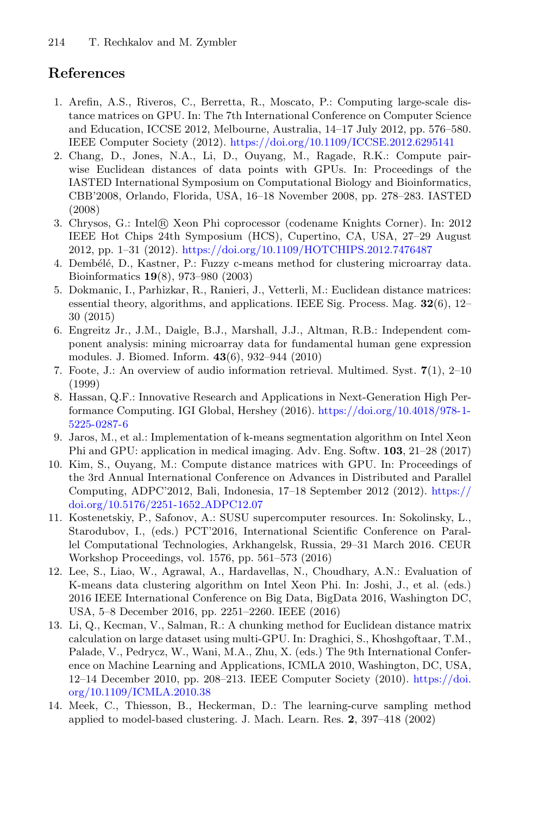## **References**

- <span id="page-14-5"></span>1. Arefin, A.S., Riveros, C., Berretta, R., Moscato, P.: Computing large-scale distance matrices on GPU. In: The 7th International Conference on Computer Science and Education, ICCSE 2012, Melbourne, Australia, 14–17 July 2012, pp. 576–580. IEEE Computer Society (2012). <https://doi.org/10.1109/ICCSE.2012.6295141>
- <span id="page-14-2"></span>2. Chang, D., Jones, N.A., Li, D., Ouyang, M., Ragade, R.K.: Compute pairwise Euclidean distances of data points with GPUs. In: Proceedings of the IASTED International Symposium on Computational Biology and Bioinformatics, CBB'2008, Orlando, Florida, USA, 16–18 November 2008, pp. 278–283. IASTED (2008)
- <span id="page-14-8"></span>3. Chrysos, G.: Intel<sup>R</sup> Xeon Phi coprocessor (codename Knights Corner). In: 2012 IEEE Hot Chips 24th Symposium (HCS), Cupertino, CA, USA, 27–29 August 2012, pp. 1–31 (2012). <https://doi.org/10.1109/HOTCHIPS.2012.7476487>
- <span id="page-14-4"></span>4. Dembélé, D., Kastner, P.: Fuzzy c-means method for clustering microarray data. Bioinformatics **19**(8), 973–980 (2003)
- <span id="page-14-0"></span>5. Dokmanic, I., Parhizkar, R., Ranieri, J., Vetterli, M.: Euclidean distance matrices: essential theory, algorithms, and applications. IEEE Sig. Process. Mag. **32**(6), 12– 30 (2015)
- <span id="page-14-12"></span>6. Engreitz Jr., J.M., Daigle, B.J., Marshall, J.J., Altman, R.B.: Independent component analysis: mining microarray data for fundamental human gene expression modules. J. Biomed. Inform. **43**(6), 932–944 (2010)
- <span id="page-14-1"></span>7. Foote, J.: An overview of audio information retrieval. Multimed. Syst. **7**(1), 2–10 (1999)
- <span id="page-14-10"></span>8. Hassan, Q.F.: Innovative Research and Applications in Next-Generation High Performance Computing. IGI Global, Hershey (2016). [https://doi.org/10.4018/978-1-](https://doi.org/10.4018/978-1-5225-0287-6) [5225-0287-6](https://doi.org/10.4018/978-1-5225-0287-6)
- <span id="page-14-9"></span>9. Jaros, M., et al.: Implementation of k-means segmentation algorithm on Intel Xeon Phi and GPU: application in medical imaging. Adv. Eng. Softw. **103**, 21–28 (2017)
- <span id="page-14-6"></span>10. Kim, S., Ouyang, M.: Compute distance matrices with GPU. In: Proceedings of the 3rd Annual International Conference on Advances in Distributed and Parallel Computing, ADPC'2012, Bali, Indonesia, 17–18 September 2012 (2012). [https://](https://doi.org/10.5176/2251-1652_ADPC12.07) [doi.org/10.5176/2251-1652](https://doi.org/10.5176/2251-1652_ADPC12.07) ADPC12.07
- <span id="page-14-13"></span>11. Kostenetskiy, P., Safonov, A.: SUSU supercomputer resources. In: Sokolinsky, L., Starodubov, I., (eds.) PCT'2016, International Scientific Conference on Parallel Computational Technologies, Arkhangelsk, Russia, 29–31 March 2016. CEUR Workshop Proceedings, vol. 1576, pp. 561–573 (2016)
- <span id="page-14-3"></span>12. Lee, S., Liao, W., Agrawal, A., Hardavellas, N., Choudhary, A.N.: Evaluation of K-means data clustering algorithm on Intel Xeon Phi. In: Joshi, J., et al. (eds.) 2016 IEEE International Conference on Big Data, BigData 2016, Washington DC, USA, 5–8 December 2016, pp. 2251–2260. IEEE (2016)
- <span id="page-14-7"></span>13. Li, Q., Kecman, V., Salman, R.: A chunking method for Euclidean distance matrix calculation on large dataset using multi-GPU. In: Draghici, S., Khoshgoftaar, T.M., Palade, V., Pedrycz, W., Wani, M.A., Zhu, X. (eds.) The 9th International Conference on Machine Learning and Applications, ICMLA 2010, Washington, DC, USA, 12–14 December 2010, pp. 208–213. IEEE Computer Society (2010). [https://doi.](https://doi.org/10.1109/ICMLA.2010.38) [org/10.1109/ICMLA.2010.38](https://doi.org/10.1109/ICMLA.2010.38)
- <span id="page-14-11"></span>14. Meek, C., Thiesson, B., Heckerman, D.: The learning-curve sampling method applied to model-based clustering. J. Mach. Learn. Res. **2**, 397–418 (2002)